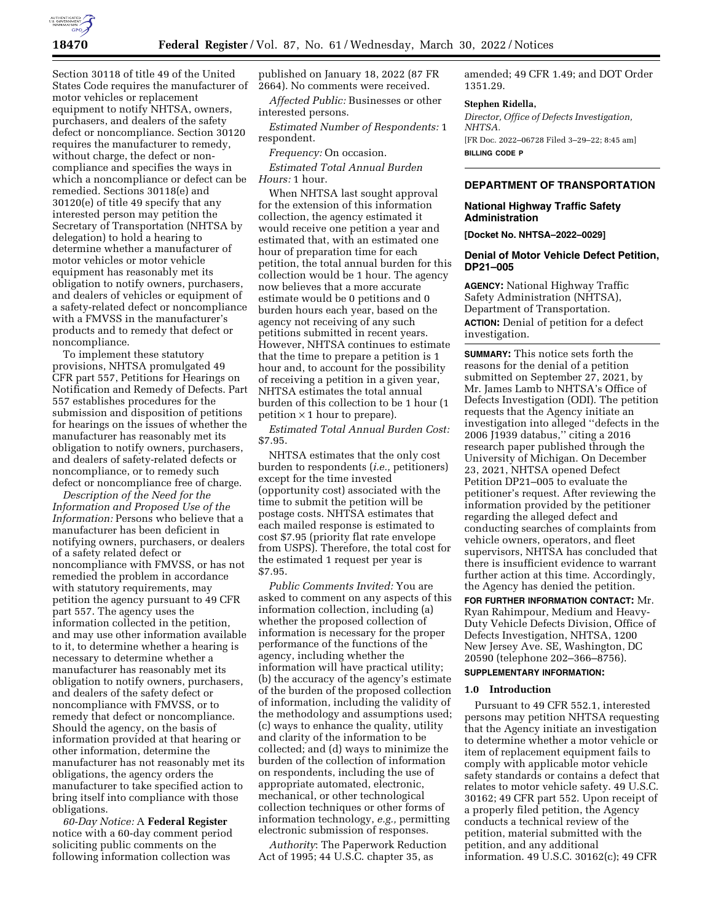

Section 30118 of title 49 of the United States Code requires the manufacturer of motor vehicles or replacement equipment to notify NHTSA, owners, purchasers, and dealers of the safety defect or noncompliance. Section 30120 requires the manufacturer to remedy, without charge, the defect or noncompliance and specifies the ways in which a noncompliance or defect can be remedied. Sections 30118(e) and 30120(e) of title 49 specify that any interested person may petition the Secretary of Transportation (NHTSA by delegation) to hold a hearing to determine whether a manufacturer of motor vehicles or motor vehicle equipment has reasonably met its obligation to notify owners, purchasers, and dealers of vehicles or equipment of a safety-related defect or noncompliance with a FMVSS in the manufacturer's products and to remedy that defect or noncompliance.

To implement these statutory provisions, NHTSA promulgated 49 CFR part 557, Petitions for Hearings on Notification and Remedy of Defects. Part 557 establishes procedures for the submission and disposition of petitions for hearings on the issues of whether the manufacturer has reasonably met its obligation to notify owners, purchasers, and dealers of safety-related defects or noncompliance, or to remedy such defect or noncompliance free of charge.

*Description of the Need for the Information and Proposed Use of the Information:* Persons who believe that a manufacturer has been deficient in notifying owners, purchasers, or dealers of a safety related defect or noncompliance with FMVSS, or has not remedied the problem in accordance with statutory requirements, may petition the agency pursuant to 49 CFR part 557. The agency uses the information collected in the petition, and may use other information available to it, to determine whether a hearing is necessary to determine whether a manufacturer has reasonably met its obligation to notify owners, purchasers, and dealers of the safety defect or noncompliance with FMVSS, or to remedy that defect or noncompliance. Should the agency, on the basis of information provided at that hearing or other information, determine the manufacturer has not reasonably met its obligations, the agency orders the manufacturer to take specified action to bring itself into compliance with those obligations.

*60-Day Notice:* A **Federal Register**  notice with a 60-day comment period soliciting public comments on the following information collection was

published on January 18, 2022 (87 FR 2664). No comments were received.

*Affected Public:* Businesses or other interested persons.

*Estimated Number of Respondents:* 1 respondent.

*Frequency:* On occasion.

*Estimated Total Annual Burden Hours:* 1 hour.

When NHTSA last sought approval for the extension of this information collection, the agency estimated it would receive one petition a year and estimated that, with an estimated one hour of preparation time for each petition, the total annual burden for this collection would be 1 hour. The agency now believes that a more accurate estimate would be 0 petitions and 0 burden hours each year, based on the agency not receiving of any such petitions submitted in recent years. However, NHTSA continues to estimate that the time to prepare a petition is 1 hour and, to account for the possibility of receiving a petition in a given year, NHTSA estimates the total annual burden of this collection to be 1 hour (1 petition  $\times$  1 hour to prepare).

*Estimated Total Annual Burden Cost:*  \$7.95.

NHTSA estimates that the only cost burden to respondents (*i.e.,* petitioners) except for the time invested (opportunity cost) associated with the time to submit the petition will be postage costs. NHTSA estimates that each mailed response is estimated to cost \$7.95 (priority flat rate envelope from USPS). Therefore, the total cost for the estimated 1 request per year is \$7.95.

*Public Comments Invited:* You are asked to comment on any aspects of this information collection, including (a) whether the proposed collection of information is necessary for the proper performance of the functions of the agency, including whether the information will have practical utility; (b) the accuracy of the agency's estimate of the burden of the proposed collection of information, including the validity of the methodology and assumptions used; (c) ways to enhance the quality, utility and clarity of the information to be collected; and (d) ways to minimize the burden of the collection of information on respondents, including the use of appropriate automated, electronic, mechanical, or other technological collection techniques or other forms of information technology, *e.g.,* permitting electronic submission of responses.

*Authority*: The Paperwork Reduction Act of 1995; 44 U.S.C. chapter 35, as

amended; 49 CFR 1.49; and DOT Order 1351.29.

#### **Stephen Ridella,**

*Director, Office of Defects Investigation, NHTSA.*  [FR Doc. 2022–06728 Filed 3–29–22; 8:45 am] **BILLING CODE P** 

# **DEPARTMENT OF TRANSPORTATION**

# **National Highway Traffic Safety Administration**

**[Docket No. NHTSA–2022–0029]** 

# **Denial of Motor Vehicle Defect Petition, DP21–005**

**AGENCY:** National Highway Traffic Safety Administration (NHTSA), Department of Transportation. **ACTION:** Denial of petition for a defect investigation.

**SUMMARY:** This notice sets forth the reasons for the denial of a petition submitted on September 27, 2021, by Mr. James Lamb to NHTSA's Office of Defects Investigation (ODI). The petition requests that the Agency initiate an investigation into alleged ''defects in the 2006 J1939 databus,'' citing a 2016 research paper published through the University of Michigan. On December 23, 2021, NHTSA opened Defect Petition DP21–005 to evaluate the petitioner's request. After reviewing the information provided by the petitioner regarding the alleged defect and conducting searches of complaints from vehicle owners, operators, and fleet supervisors, NHTSA has concluded that there is insufficient evidence to warrant further action at this time. Accordingly, the Agency has denied the petition.

**FOR FURTHER INFORMATION CONTACT:** Mr. Ryan Rahimpour, Medium and Heavy-Duty Vehicle Defects Division, Office of Defects Investigation, NHTSA, 1200 New Jersey Ave. SE, Washington, DC 20590 (telephone 202–366–8756).

## **SUPPLEMENTARY INFORMATION:**

## **1.0 Introduction**

Pursuant to 49 CFR 552.1, interested persons may petition NHTSA requesting that the Agency initiate an investigation to determine whether a motor vehicle or item of replacement equipment fails to comply with applicable motor vehicle safety standards or contains a defect that relates to motor vehicle safety. 49 U.S.C. 30162; 49 CFR part 552. Upon receipt of a properly filed petition, the Agency conducts a technical review of the petition, material submitted with the petition, and any additional information. 49 U.S.C. 30162(c); 49 CFR